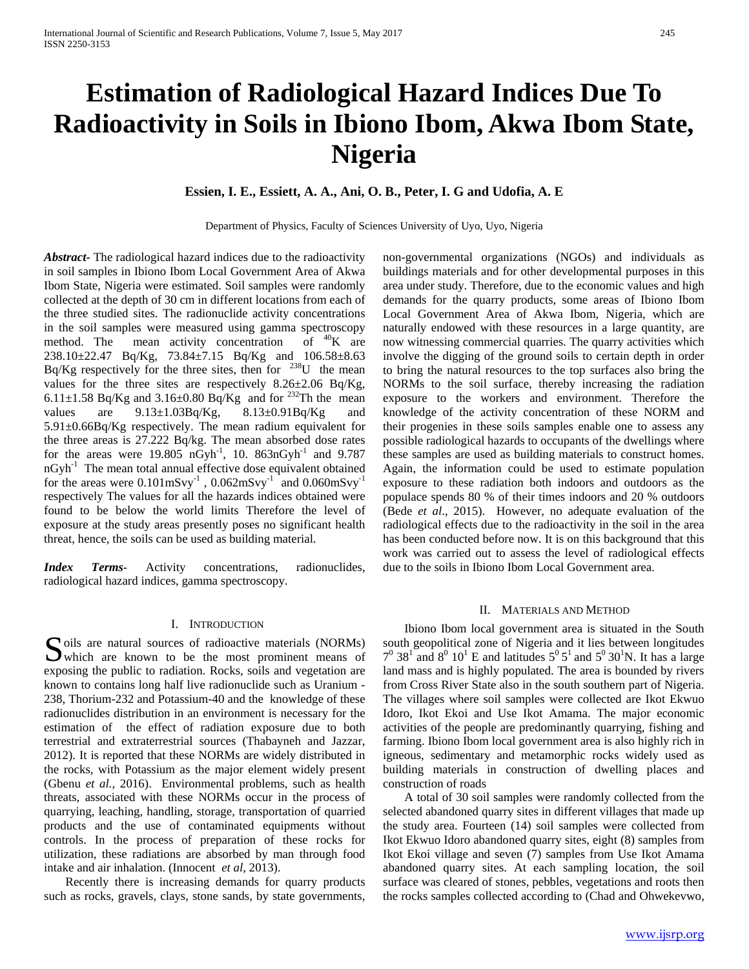# **Estimation of Radiological Hazard Indices Due To Radioactivity in Soils in Ibiono Ibom, Akwa Ibom State, Nigeria**

## **Essien, I. E., Essiett, A. A., Ani, O. B., Peter, I. G and Udofia, A. E**

Department of Physics, Faculty of Sciences University of Uyo, Uyo, Nigeria

*Abstract***-** The radiological hazard indices due to the radioactivity in soil samples in Ibiono Ibom Local Government Area of Akwa Ibom State, Nigeria were estimated. Soil samples were randomly collected at the depth of 30 cm in different locations from each of the three studied sites. The radionuclide activity concentrations in the soil samples were measured using gamma spectroscopy method. The mean activity concentration of  ${}^{40}$ K are 238.10±22.47 Bq/Kg, 73.84±7.15 Bq/Kg and 106.58±8.63 Bq/Kg respectively for the three sites, then for  $238$ U the mean values for the three sites are respectively 8.26±2.06 Bq/Kg, 6.11 $\pm$ 1.58 Bq/Kg and 3.16 $\pm$ 0.80 Bq/Kg and for <sup>232</sup>Th the mean values are  $9.13 \pm 1.03Bq/Kg$ ,  $8.13 \pm 0.91Bq/Kg$  and 5.91±0.66Bq/Kg respectively. The mean radium equivalent for the three areas is 27.222 Bq/kg. The mean absorbed dose rates for the areas were  $19.805 \text{ nGyh}^{-1}$ , 10.  $863 \text{ nGyh}^{-1}$  and  $9.787$ nGyh<sup>-1</sup> The mean total annual effective dose equivalent obtained for the areas were  $0.101 \text{mSvy}^{-1}$ ,  $0.062 \text{mSvy}^{-1}$  and  $0.060 \text{mSvy}^{-1}$ respectively The values for all the hazards indices obtained were found to be below the world limits Therefore the level of exposure at the study areas presently poses no significant health threat, hence, the soils can be used as building material.

*Index Terms*- Activity concentrations, radionuclides, radiological hazard indices, gamma spectroscopy.

## I. INTRODUCTION

Soils are natural sources of radioactive materials (NORMs) which are known to be the most prominent means of  $\sum$  which are known to be the most prominent means of exposing the public to radiation. Rocks, soils and vegetation are known to contains long half live radionuclide such as Uranium - 238, Thorium-232 and Potassium-40 and the knowledge of these radionuclides distribution in an environment is necessary for the estimation of the effect of radiation exposure due to both terrestrial and extraterrestrial sources (Thabayneh and Jazzar, 2012). It is reported that these NORMs are widely distributed in the rocks, with Potassium as the major element widely present (Gbenu *et al.,* 2016). Environmental problems, such as health threats, associated with these NORMs occur in the process of quarrying, leaching, handling, storage, transportation of quarried products and the use of contaminated equipments without controls. In the process of preparation of these rocks for utilization, these radiations are absorbed by man through food intake and air inhalation. (Innocent *et al*, 2013).

 Recently there is increasing demands for quarry products such as rocks, gravels, clays, stone sands, by state governments, non-governmental organizations (NGOs) and individuals as buildings materials and for other developmental purposes in this area under study. Therefore, due to the economic values and high demands for the quarry products, some areas of Ibiono Ibom Local Government Area of Akwa Ibom, Nigeria, which are naturally endowed with these resources in a large quantity, are now witnessing commercial quarries. The quarry activities which involve the digging of the ground soils to certain depth in order to bring the natural resources to the top surfaces also bring the NORMs to the soil surface, thereby increasing the radiation exposure to the workers and environment. Therefore the knowledge of the activity concentration of these NORM and their progenies in these soils samples enable one to assess any possible radiological hazards to occupants of the dwellings where these samples are used as building materials to construct homes. Again, the information could be used to estimate population exposure to these radiation both indoors and outdoors as the populace spends 80 % of their times indoors and 20 % outdoors (Bede *et al*., 2015). However, no adequate evaluation of the radiological effects due to the radioactivity in the soil in the area has been conducted before now. It is on this background that this work was carried out to assess the level of radiological effects due to the soils in Ibiono Ibom Local Government area.

#### II. MATERIALS AND METHOD

 Ibiono Ibom local government area is situated in the South south geopolitical zone of Nigeria and it lies between longitudes  $7^0$  38<sup>1</sup> and 8<sup>0</sup> 10<sup>1</sup> E and latitudes  $5^0$  5<sup>1</sup> and  $5^0$  30<sup>1</sup>N. It has a large land mass and is highly populated. The area is bounded by rivers from Cross River State also in the south southern part of Nigeria. The villages where soil samples were collected are Ikot Ekwuo Idoro, Ikot Ekoi and Use Ikot Amama. The major economic activities of the people are predominantly quarrying, fishing and farming. Ibiono Ibom local government area is also highly rich in igneous, sedimentary and metamorphic rocks widely used as building materials in construction of dwelling places and construction of roads

 A total of 30 soil samples were randomly collected from the selected abandoned quarry sites in different villages that made up the study area. Fourteen (14) soil samples were collected from Ikot Ekwuo Idoro abandoned quarry sites, eight (8) samples from Ikot Ekoi village and seven (7) samples from Use Ikot Amama abandoned quarry sites. At each sampling location, the soil surface was cleared of stones, pebbles, vegetations and roots then the rocks samples collected according to (Chad and Ohwekevwo,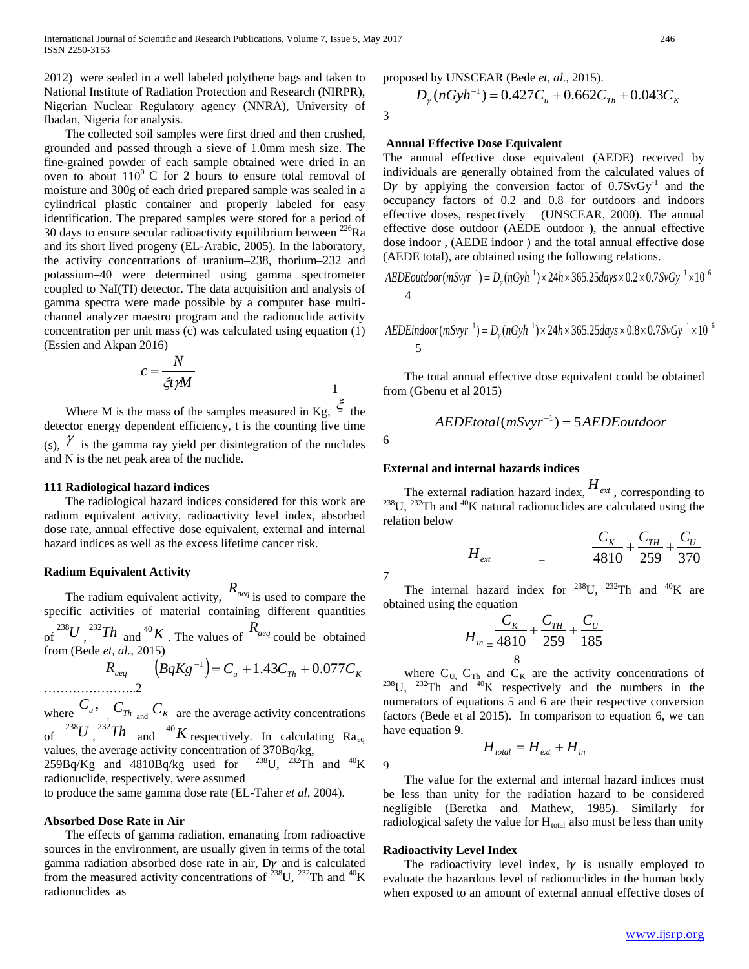2012) were sealed in a well labeled polythene bags and taken to National Institute of Radiation Protection and Research (NIRPR), Nigerian Nuclear Regulatory agency (NNRA), University of Ibadan, Nigeria for analysis.

 The collected soil samples were first dried and then crushed, grounded and passed through a sieve of 1.0mm mesh size. The fine-grained powder of each sample obtained were dried in an oven to about  $110^0$  C for 2 hours to ensure total removal of moisture and 300g of each dried prepared sample was sealed in a cylindrical plastic container and properly labeled for easy identification. The prepared samples were stored for a period of 30 days to ensure secular radioactivity equilibrium between  $^{226}$ Ra and its short lived progeny (EL-Arabic, 2005). In the laboratory, the activity concentrations of uranium–238, thorium–232 and potassium–40 were determined using gamma spectrometer coupled to NaI(TI) detector. The data acquisition and analysis of gamma spectra were made possible by a computer base multichannel analyzer maestro program and the radionuclide activity concentration per unit mass (c) was calculated using equation (1) (Essien and Akpan 2016)

$$
c = \frac{N}{\xi t \gamma M}
$$

Where M is the mass of the samples measured in Kg,  $\zeta$  the detector energy dependent efficiency, t is the counting live time (s),  $\gamma$  is the gamma ray yield per disintegration of the nuclides and N is the net peak area of the nuclide.

## **111 Radiological hazard indices**

 The radiological hazard indices considered for this work are radium equivalent activity, radioactivity level index, absorbed dose rate, annual effective dose equivalent, external and internal hazard indices as well as the excess lifetime cancer risk.

## **Radium Equivalent Activity**

 The radium equivalent activity, *Raeq* is used to compare the specific activities of material containing different quantities of  $\int^{238} U \, dx$ ,  $\int^{232} Th$  and  $\int^{40} K$ . The values of  $R_{\text{a}eq}$  could be obtained from (Bede *et, al.,* 2015)

$$
R_{aeq} \qquad (BqKg^{-1}) = C_u + 1.43C_{Th} + 0.077C_K
$$

where  $C_u$ ,  $C_{Th}$  and  $C_K$  are the average activity concentrations of  $^{238}U$ ,  $^{232}Th$  and  $^{40}K$  respectively. In calculating Ra<sub>eq</sub> values, the average activity concentration of 370Bq/kg,<br>259Bq/Kg and 4810Bq/kg used for  $^{238}$ U,  $^{232}$ Th and  $^{40}$ K  $259Bq/Kg$  and  $4810Bq/kg$  used for

radionuclide, respectively, were assumed

to produce the same gamma dose rate (EL-Taher *et al,* 2004).

## **Absorbed Dose Rate in Air**

 The effects of gamma radiation, emanating from radioactive sources in the environment, are usually given in terms of the total gamma radiation absorbed dose rate in air,  $D\gamma$  and is calculated from the measured activity concentrations of  $^{238}$ U,  $^{232}$ Th and  $^{40}$ K radionuclides as

proposed by UNSCEAR (Bede *et, al.*, 2015).

$$
D_{\gamma}(nGyh^{-1}) = 0.427C_u + 0.662C_{Th} + 0.043C_K
$$

## **Annual Effective Dose Equivalent**

The annual effective dose equivalent (AEDE) received by individuals are generally obtained from the calculated values of Dy by applying the conversion factor of  $0.7SvGy^{-1}$  and the occupancy factors of 0.2 and 0.8 for outdoors and indoors effective doses, respectively (UNSCEAR, 2000). The annual effective dose outdoor (AEDE outdoor ), the annual effective dose indoor , (AEDE indoor ) and the total annual effective dose (AEDE total), are obtained using the following relations.

$$
AEDEoutdoor(mSvyr^{-1}) = D_{\gamma}(nGyh^{-1}) \times 24h \times 365.25 days \times 0.2 \times 0.7SvGy^{-1} \times 10^{-6}
$$
  
4

$$
AEDEindoor(mSvyr^{-1}) = D_{\gamma}(nGyh^{-1}) \times 24h \times 365.25 days \times 0.8 \times 0.75vGy^{-1} \times 10^{-6}
$$
  
5

 The total annual effective dose equivalent could be obtained from (Gbenu et al 2015)

$$
AEDEtotal(mSvyr^{-1}) = 5AEDEoutdoor
$$

7

#### **External and internal hazards indices**

The external radiation hazard index,  $H_{ext}$ , corresponding to <sup>238</sup>U, <sup>232</sup>Th and <sup>40</sup>K natural radionuclides are calculated using the relation below

$$
H_{ext} = \frac{C_K}{4810} + \frac{C_{TH}}{259} + \frac{C_U}{370}
$$

The internal hazard index for <sup>238</sup>U, <sup>232</sup>Th and <sup>40</sup>K are obtained using the equation

$$
H_{in} = \frac{C_K}{4810} + \frac{C_{TH}}{259} + \frac{C_U}{185}
$$

where  $C_{U}$ ,  $C_{Th}$  and  $C_{K}$  are the activity concentrations of <sup>238</sup>U, <sup>232</sup>Th and <sup>40</sup>K respectively and the numbers in the numerators of equations 5 and 6 are their respective conversion factors (Bede et al 2015). In comparison to equation 6, we can have equation 9.

$$
H_{total} = H_{ext} + H_{in}
$$

 The value for the external and internal hazard indices must be less than unity for the radiation hazard to be considered negligible (Beretka and Mathew, 1985). Similarly for radiological safety the value for  $H_{total}$  also must be less than unity

#### **Radioactivity Level Index**

The radioactivity level index, I $\gamma$  is usually employed to evaluate the hazardous level of radionuclides in the human body when exposed to an amount of external annual effective doses of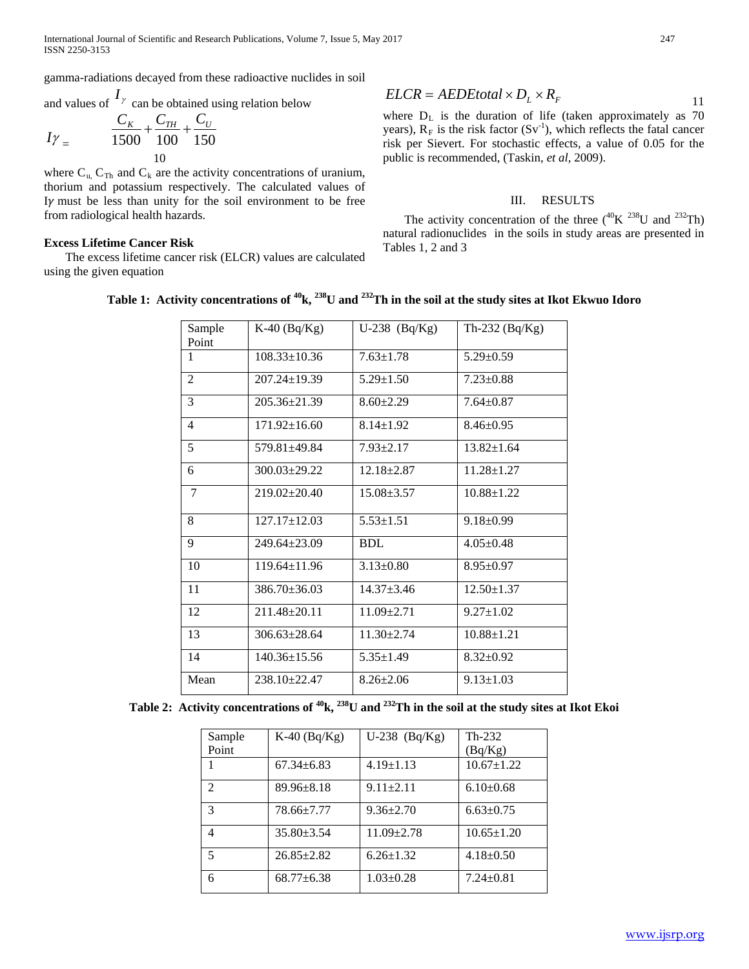gamma-radiations decayed from these radioactive nuclides in soil

and values of  $I_{\gamma}$  can be obtained using relation below

$$
I\gamma_{=} \qquad \frac{C_{K}}{1500} + \frac{C_{TH}}{100} + \frac{C_{U}}{150}
$$

where  $C_{u}$ ,  $C_{Th}$  and  $C_{k}$  are the activity concentrations of uranium, thorium and potassium respectively. The calculated values of I $\gamma$  must be less than unity for the soil environment to be free from radiological health hazards.

## **Excess Lifetime Cancer Risk**

 The excess lifetime cancer risk (ELCR) values are calculated using the given equation

$$
ELCR = AEDEtotal \times D_L \times R_F
$$

where  $D_L$  is the duration of life (taken approximately as 70 years),  $R_F$  is the risk factor  $(Sv^{-1})$ , which reflects the fatal cancer risk per Sievert. For stochastic effects, a value of 0.05 for the public is recommended, (Taskin, *et al,* 2009).

## III. RESULTS

The activity concentration of the three  $(^{40}K~^{238}U$  and  $^{232}Th)$ natural radionuclides in the soils in study areas are presented in Tables 1, 2 and 3

| Sample<br>Point | $K-40$ (Bq/ $Kg$ ) | $U-238$ (Bq/Kg)  | Th-232 (Bq/Kg)   |
|-----------------|--------------------|------------------|------------------|
| 1               | $108.33 \pm 10.36$ | $7.63 \pm 1.78$  | $5.29 \pm 0.59$  |
| $\overline{2}$  | $207.24 \pm 19.39$ | $5.29 \pm 1.50$  | $7.23 \pm 0.88$  |
| 3               | 205.36±21.39       | $8.60 \pm 2.29$  | $7.64 \pm 0.87$  |
| 4               | $171.92 \pm 16.60$ | $8.14 \pm 1.92$  | $8.46 \pm 0.95$  |
| 5               | $579.81 + 49.84$   | $7.93 \pm 2.17$  | $13.82 \pm 1.64$ |
| 6               | $300.03 \pm 29.22$ | $12.18 + 2.87$   | $11.28 \pm 1.27$ |
| 7               | $219.02 \pm 20.40$ | $15.08 \pm 3.57$ | $10.88 \pm 1.22$ |
| 8               | 127.17±12.03       | $5.53 \pm 1.51$  | $9.18 \pm 0.99$  |
| 9               | $249.64 \pm 23.09$ | <b>BDL</b>       | $4.05 \pm 0.48$  |
| 10              | $119.64 \pm 11.96$ | $3.13 \pm 0.80$  | $8.95 \pm 0.97$  |
| 11              | $386.70 \pm 36.03$ | $14.37 + 3.46$   | $12.50 \pm 1.37$ |
| 12              | 211.48±20.11       | $11.09 \pm 2.71$ | $9.27 \pm 1.02$  |
| 13              | $306.63 \pm 28.64$ | $11.30 + 2.74$   | $10.88 \pm 1.21$ |
| 14              | $140.36 \pm 15.56$ | $5.35 \pm 1.49$  | $8.32 \pm 0.92$  |
| Mean            | $238.10 + 22.47$   | $8.26 \pm 2.06$  | $9.13 \pm 1.03$  |

## **Table 1: Activity concentrations of 40k, 238U and 232Th in the soil at the study sites at Ikot Ekwuo Idoro**

| Sample                      | $K-40$ (Bq/ $Kg$ ) | $U-238$ (Bq/Kg)  | $Th-232$         |
|-----------------------------|--------------------|------------------|------------------|
| Point                       |                    |                  | (Bq/Kg)          |
|                             | $67.34 \pm 6.83$   | $4.19 \pm 1.13$  | $10.67 \pm 1.22$ |
| $\mathcal{D}_{\mathcal{A}}$ | $89.96 \pm 8.18$   | $9.11 \pm 2.11$  | $6.10\pm0.68$    |
| 3                           | $78.66 \pm 7.77$   | $9.36 \pm 2.70$  | $6.63 \pm 0.75$  |
| 4                           | $35.80 \pm 3.54$   | $11.09 \pm 2.78$ | $10.65 \pm 1.20$ |
| 5                           | $26.85 \pm 2.82$   | $6.26 \pm 1.32$  | $4.18 \pm 0.50$  |
| 6                           | $68.77 \pm 6.38$   | $1.03 \pm 0.28$  | $7.24 \pm 0.81$  |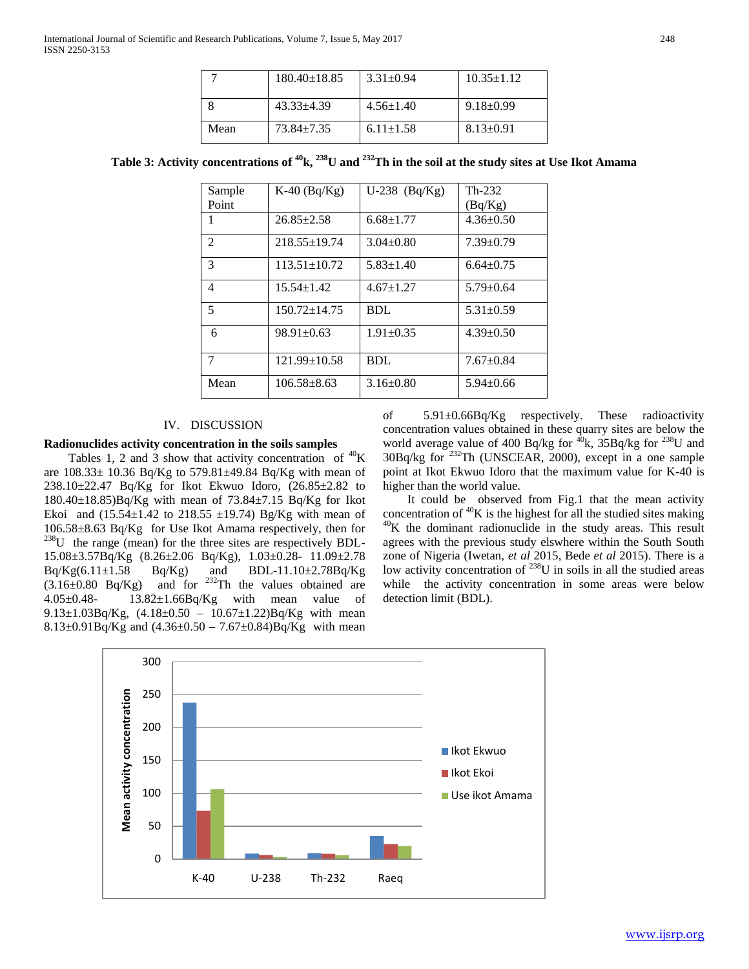|      | $180.40 \pm 18.85$ | $3.31 \pm 0.94$ | $10.35 \pm 1.12$ |
|------|--------------------|-----------------|------------------|
|      | $43.33 + 4.39$     | $4.56 \pm 1.40$ | $9.18 \pm 0.99$  |
| Mean | $73.84 + 7.35$     | $6.11 \pm 1.58$ | $8.13 \pm 0.91$  |

| Sample         | $K-40$ (Bq/ $Kg$ ) | $U-238$ (Bq/Kg) | $Th-232$        |
|----------------|--------------------|-----------------|-----------------|
| Point          |                    |                 | (Bq/Kg)         |
| 1              | $26.85 \pm 2.58$   | $6.68 \pm 1.77$ | $4.36 \pm 0.50$ |
| $\mathfrak{D}$ | $218.55 \pm 19.74$ | $3.04 \pm 0.80$ | $7.39 \pm 0.79$ |
| 3              | $113.51 \pm 10.72$ | $5.83 \pm 1.40$ | $6.64 \pm 0.75$ |
| 4              | $15.54 \pm 1.42$   | $4.67 \pm 1.27$ | $5.79 \pm 0.64$ |
| 5              | $150.72 \pm 14.75$ | <b>BDL</b>      | $5.31 \pm 0.59$ |
| 6              | $98.91 \pm 0.63$   | $1.91 \pm 0.35$ | $4.39 \pm 0.50$ |
| 7              | $121.99 \pm 10.58$ | <b>BDL</b>      | $7.67 \pm 0.84$ |
| Mean           | $106.58 \pm 8.63$  | $3.16 \pm 0.80$ | $5.94 \pm 0.66$ |

## **Table 3: Activity concentrations of 40k, 238U and 232Th in the soil at the study sites at Use Ikot Amama**

## IV. DISCUSSION

#### **Radionuclides activity concentration in the soils samples**

Tables 1, 2 and 3 show that activity concentration of  ${}^{40}$ K are  $108.33 \pm 10.36$  Bq/Kg to  $579.81 \pm 49.84$  Bq/Kg with mean of 238.10±22.47 Bq/Kg for Ikot Ekwuo Idoro, (26.85±2.82 to 180.40±18.85)Bq/Kg with mean of 73.84±7.15 Bq/Kg for Ikot Ekoi and  $(15.54 \pm 1.42 \text{ to } 218.55 \pm 19.74)$  Bg/Kg with mean of 106.58±8.63 Bq/Kg for Use Ikot Amama respectively, then for <sup>238</sup>U the range (mean) for the three sites are respectively BDL-15.08±3.57Bq/Kg (8.26±2.06 Bq/Kg), 1.03±0.28- 11.09±2.78  $Bq/Kg(6.11\pm1.58 \qquad Bq/Kg)$  and  $BDL-11.10\pm2.78Bq/Kg$  $(3.16\pm0.80)$  Bq/Kg) and for <sup>232</sup>Th the values obtained are 4.05±0.48- 13.82±1.66Bq/Kg with mean value of 9.13 $\pm$ 1.03Bq/Kg, (4.18 $\pm$ 0.50 – 10.67 $\pm$ 1.22)Bq/Kg with mean 8.13 $\pm$ 0.91Bq/Kg and (4.36 $\pm$ 0.50 – 7.67 $\pm$ 0.84)Bq/Kg with mean

of 5.91±0.66Bq/Kg respectively. These radioactivity concentration values obtained in these quarry sites are below the world average value of 400 Bq/kg for  $^{40}$ k, 35Bq/kg for  $^{238}$ U and 30Bq/kg for 232Th (UNSCEAR, 2000), except in a one sample point at Ikot Ekwuo Idoro that the maximum value for K-40 is higher than the world value.

 It could be observed from Fig.1 that the mean activity concentration of  ${}^{40}K$  is the highest for all the studied sites making  ${}^{40}K$  the dominant radionuclide in the study areas. This result agrees with the previous study elswhere within the South South zone of Nigeria (Iwetan, *et al* 2015, Bede *et al* 2015). There is a low activity concentration of  $^{238}$ U in soils in all the studied areas while the activity concentration in some areas were below detection limit (BDL).

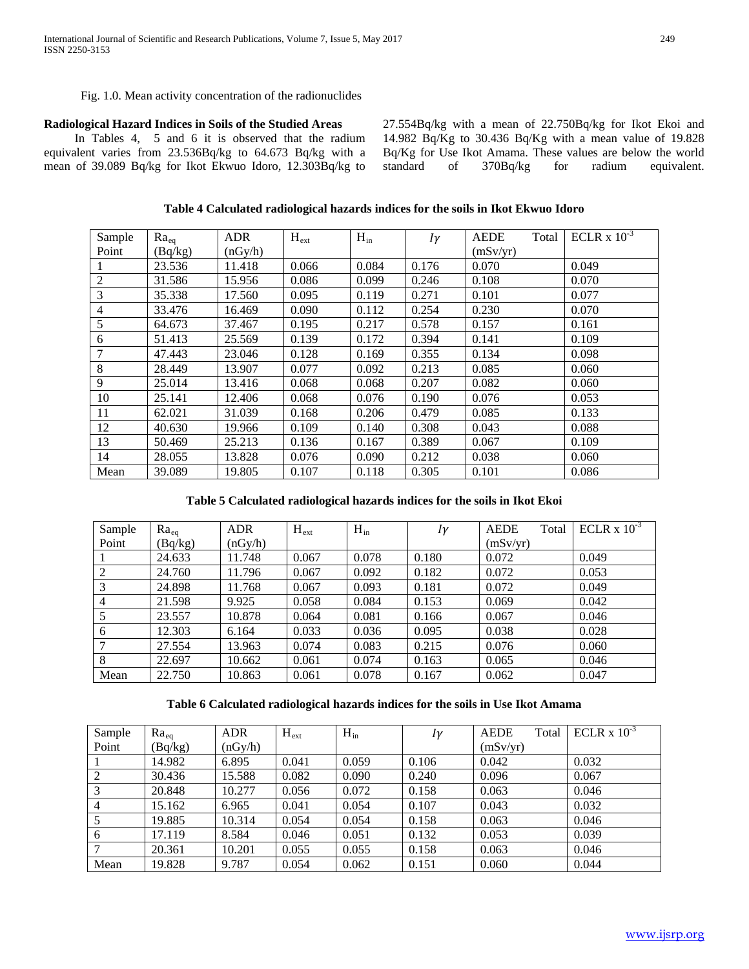## Fig. 1.0. Mean activity concentration of the radionuclides

## **Radiological Hazard Indices in Soils of the Studied Areas**

 In Tables 4, 5 and 6 it is observed that the radium equivalent varies from 23.536Bq/kg to 64.673 Bq/kg with a mean of 39.089 Bq/kg for Ikot Ekwuo Idoro, 12.303Bq/kg to 27.554Bq/kg with a mean of 22.750Bq/kg for Ikot Ekoi and 14.982 Bq/Kg to 30.436 Bq/Kg with a mean value of 19.828 Bq/Kg for Use Ikot Amama. These values are below the world standard of 370Bq/kg for radium equivalent.

## **Table 4 Calculated radiological hazards indices for the soils in Ikot Ekwuo Idoro**

| Sample         | $Ra_{eq}$ | <b>ADR</b> | $H_{ext}$ | $H_{in}$ | $I\gamma$ | Total<br><b>AEDE</b> | ECLR $x 10^{-3}$ |
|----------------|-----------|------------|-----------|----------|-----------|----------------------|------------------|
| Point          | (Bq/kg)   | (nGy/h)    |           |          |           | (mSv/yr)             |                  |
|                | 23.536    | 11.418     | 0.066     | 0.084    | 0.176     | 0.070                | 0.049            |
| $\overline{2}$ | 31.586    | 15.956     | 0.086     | 0.099    | 0.246     | 0.108                | 0.070            |
| 3              | 35.338    | 17.560     | 0.095     | 0.119    | 0.271     | 0.101                | 0.077            |
| $\overline{4}$ | 33.476    | 16.469     | 0.090     | 0.112    | 0.254     | 0.230                | 0.070            |
| 5              | 64.673    | 37.467     | 0.195     | 0.217    | 0.578     | 0.157                | 0.161            |
| 6              | 51.413    | 25.569     | 0.139     | 0.172    | 0.394     | 0.141                | 0.109            |
| 7              | 47.443    | 23.046     | 0.128     | 0.169    | 0.355     | 0.134                | 0.098            |
| 8              | 28.449    | 13.907     | 0.077     | 0.092    | 0.213     | 0.085                | 0.060            |
| 9              | 25.014    | 13.416     | 0.068     | 0.068    | 0.207     | 0.082                | 0.060            |
| 10             | 25.141    | 12.406     | 0.068     | 0.076    | 0.190     | 0.076                | 0.053            |
| 11             | 62.021    | 31.039     | 0.168     | 0.206    | 0.479     | 0.085                | 0.133            |
| 12             | 40.630    | 19.966     | 0.109     | 0.140    | 0.308     | 0.043                | 0.088            |
| 13             | 50.469    | 25.213     | 0.136     | 0.167    | 0.389     | 0.067                | 0.109            |
| 14             | 28.055    | 13.828     | 0.076     | 0.090    | 0.212     | 0.038                | 0.060            |
| Mean           | 39.089    | 19.805     | 0.107     | 0.118    | 0.305     | 0.101                | 0.086            |

## **Table 5 Calculated radiological hazards indices for the soils in Ikot Ekoi**

| Sample         | $Ra_{eq}$ | <b>ADR</b> | $H_{ext}$ | $H_{in}$ | Iγ    | <b>AEDE</b><br>Total | ECLR $x 10^{-3}$ |
|----------------|-----------|------------|-----------|----------|-------|----------------------|------------------|
| Point          | (Bq/kg)   | (nGy/h)    |           |          |       | (mSv/yr)             |                  |
|                | 24.633    | 11.748     | 0.067     | 0.078    | 0.180 | 0.072                | 0.049            |
| 2              | 24.760    | 11.796     | 0.067     | 0.092    | 0.182 | 0.072                | 0.053            |
| 3              | 24.898    | 11.768     | 0.067     | 0.093    | 0.181 | 0.072                | 0.049            |
| $\overline{4}$ | 21.598    | 9.925      | 0.058     | 0.084    | 0.153 | 0.069                | 0.042            |
|                | 23.557    | 10.878     | 0.064     | 0.081    | 0.166 | 0.067                | 0.046            |
| 6              | 12.303    | 6.164      | 0.033     | 0.036    | 0.095 | 0.038                | 0.028            |
| 7              | 27.554    | 13.963     | 0.074     | 0.083    | 0.215 | 0.076                | 0.060            |
| 8              | 22.697    | 10.662     | 0.061     | 0.074    | 0.163 | 0.065                | 0.046            |
| Mean           | 22.750    | 10.863     | 0.061     | 0.078    | 0.167 | 0.062                | 0.047            |

## **Table 6 Calculated radiological hazards indices for the soils in Use Ikot Amama**

| Sample         | $Ra_{eq}$ | <b>ADR</b> | $H_{ext}$ | $H_{in}$ | $I\gamma$ | <b>AEDE</b><br>Total | ECLR $x 10^{-3}$ |
|----------------|-----------|------------|-----------|----------|-----------|----------------------|------------------|
| Point          | (Bq/kg)   | (nGy/h)    |           |          |           | (mSv/yr)             |                  |
|                | 14.982    | 6.895      | 0.041     | 0.059    | 0.106     | 0.042                | 0.032            |
| 2              | 30.436    | 15.588     | 0.082     | 0.090    | 0.240     | 0.096                | 0.067            |
| 3              | 20.848    | 10.277     | 0.056     | 0.072    | 0.158     | 0.063                | 0.046            |
| $\overline{4}$ | 15.162    | 6.965      | 0.041     | 0.054    | 0.107     | 0.043                | 0.032            |
|                | 19.885    | 10.314     | 0.054     | 0.054    | 0.158     | 0.063                | 0.046            |
| 6              | 17.119    | 8.584      | 0.046     | 0.051    | 0.132     | 0.053                | 0.039            |
| 7              | 20.361    | 10.201     | 0.055     | 0.055    | 0.158     | 0.063                | 0.046            |
| Mean           | 19.828    | 9.787      | 0.054     | 0.062    | 0.151     | 0.060                | 0.044            |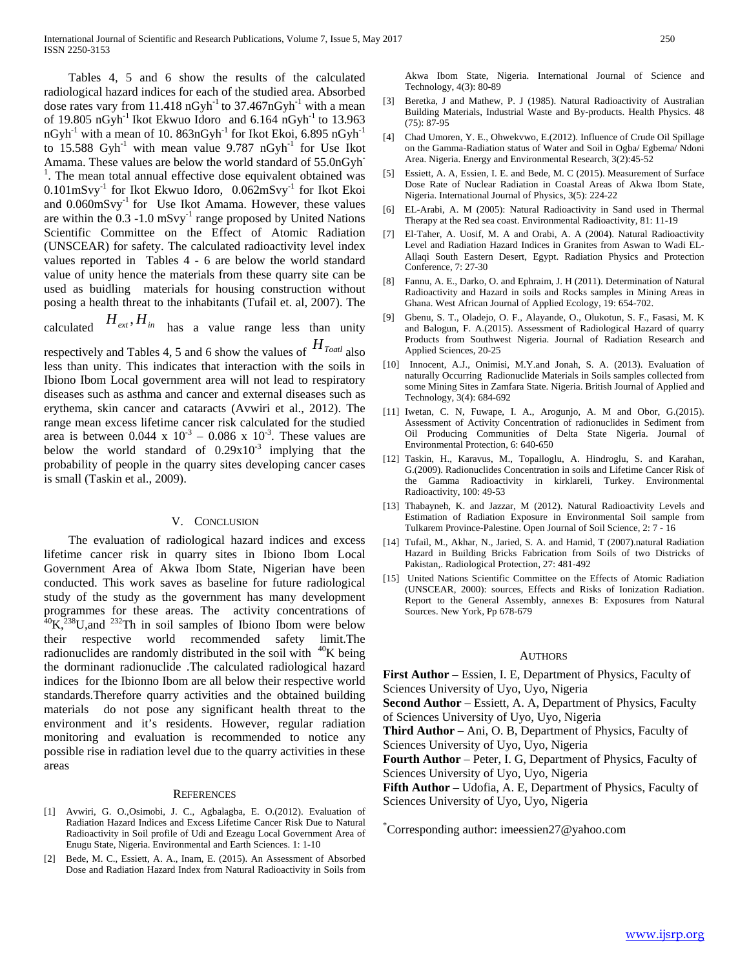Tables 4, 5 and 6 show the results of the calculated radiological hazard indices for each of the studied area. Absorbed dose rates vary from 11.418 nGyh<sup>-1</sup> to  $37.467$ nGyh<sup>-1</sup> with a mean of 19.805 nGyh<sup>-1</sup> Ikot Ekwuo Idoro and 6.164 nGyh<sup>-1</sup> to 13.963  $nGyh^{-1}$  with a mean of 10. 863n $Gyh^{-1}$  for Ikot Ekoi, 6.895 n $Gyh^{-1}$ to  $15.588$  Gyh<sup>-1</sup> with mean value 9.787 nGyh<sup>-1</sup> for Use Ikot Amama. These values are below the world standard of 55.0nGyh-<sup>1</sup>. The mean total annual effective dose equivalent obtained was 0.101mSvy-1 for Ikot Ekwuo Idoro, 0.062mSvy-1 for Ikot Ekoi and  $0.060$ m $S$ vy<sup>-1</sup> for Use Ikot Amama. However, these values are within the  $0.3 - 1.0$  mSvy $^{-1}$  range proposed by United Nations Scientific Committee on the Effect of Atomic Radiation (UNSCEAR) for safety. The calculated radioactivity level index values reported in Tables 4 - 6 are below the world standard value of unity hence the materials from these quarry site can be used as buidling materials for housing construction without posing a health threat to the inhabitants (Tufail et. al, 2007). The

calculated  $H_{ext}$ ,  $H_{in}$  has a value range less than unity

respectively and Tables 4, 5 and 6 show the values of *HToatl* also less than unity. This indicates that interaction with the soils in Ibiono Ibom Local government area will not lead to respiratory diseases such as asthma and cancer and external diseases such as erythema, skin cancer and cataracts (Avwiri et al., 2012). The range mean excess lifetime cancer risk calculated for the studied area is between  $0.044 \times 10^{-3} - 0.086 \times 10^{-3}$ . These values are below the world standard of  $0.29x10^{-3}$  implying that the probability of people in the quarry sites developing cancer cases is small (Taskin et al., 2009).

#### V. CONCLUSION

 The evaluation of radiological hazard indices and excess lifetime cancer risk in quarry sites in Ibiono Ibom Local Government Area of Akwa Ibom State, Nigerian have been conducted. This work saves as baseline for future radiological study of the study as the government has many development programmes for these areas. The activity concentrations of  $^{40}$ K,<sup>238</sup>U,and <sup>232</sup>Th in soil samples of Ibiono Ibom were below their respective world recommended safety limit.The radionuclides are randomly distributed in the soil with  $40K$  being the dorminant radionuclide .The calculated radiological hazard indices for the Ibionno Ibom are all below their respective world standards.Therefore quarry activities and the obtained building materials do not pose any significant health threat to the environment and it's residents. However, regular radiation monitoring and evaluation is recommended to notice any possible rise in radiation level due to the quarry activities in these areas

#### **REFERENCES**

- [1] Avwiri, G. O.,Osimobi, J. C., Agbalagba, E. O.(2012). Evaluation of Radiation Hazard Indices and Excess Lifetime Cancer Risk Due to Natural Radioactivity in Soil profile of Udi and Ezeagu Local Government Area of Enugu State, Nigeria. Environmental and Earth Sciences. 1: 1-10
- [2] Bede, M. C., Essiett, A. A., Inam, E. (2015). An Assessment of Absorbed Dose and Radiation Hazard Index from Natural Radioactivity in Soils from

Akwa Ibom State, Nigeria. International Journal of Science and Technology, 4(3): 80-89

- [3] Beretka, J and Mathew, P. J (1985). Natural Radioactivity of Australian Building Materials, Industrial Waste and By-products. Health Physics. 48 (75): 87-95
- [4] Chad Umoren, Y. E., Ohwekvwo, E.(2012). Influence of Crude Oil Spillage on the Gamma-Radiation status of Water and Soil in Ogba/ Egbema/ Ndoni Area. Nigeria. Energy and Environmental Research, 3(2):45-52
- [5] Essiett, A. A, Essien, I. E. and Bede, M. C (2015). Measurement of Surface Dose Rate of Nuclear Radiation in Coastal Areas of Akwa Ibom State, Nigeria. International Journal of Physics, 3(5): 224-22
- [6] EL-Arabi, A. M (2005): Natural Radioactivity in Sand used in Thermal Therapy at the Red sea coast. Environmental Radioactivity, 81: 11-19
- [7] El-Taher, A. Uosif, M. A and Orabi, A. A (2004). Natural Radioactivity Level and Radiation Hazard Indices in Granites from Aswan to Wadi EL-Allaqi South Eastern Desert, Egypt. Radiation Physics and Protection Conference, 7: 27-30
- [8] Fannu, A. E., Darko, O. and Ephraim, J. H (2011). Determination of Natural Radioactivity and Hazard in soils and Rocks samples in Mining Areas in Ghana. West African Journal of Applied Ecology, 19: 654-702.
- [9] Gbenu, S. T., Oladejo, O. F., Alayande, O., Olukotun, S. F., Fasasi, M. K and Balogun, F. A.(2015). Assessment of Radiological Hazard of quarry Products from Southwest Nigeria. Journal of Radiation Research and Applied Sciences, 20-25
- [10] Innocent, A.J., Onimisi, M.Y.and Jonah, S. A. (2013). Evaluation of naturally Occurring Radionuclide Materials in Soils samples collected from some Mining Sites in Zamfara State. Nigeria. British Journal of Applied and Technology, 3(4): 684-692
- [11] Iwetan, C. N, Fuwape, I. A., Arogunjo, A. M and Obor, G.(2015). Assessment of Activity Concentration of radionuclides in Sediment from Oil Producing Communities of Delta State Nigeria. Journal of Environmental Protection, 6: 640-650
- [12] Taskin, H., Karavus, M., Topalloglu, A. Hindroglu, S. and Karahan, G.(2009). Radionuclides Concentration in soils and Lifetime Cancer Risk of the Gamma Radioactivity in kirklareli, Turkey. Environmental Radioactivity, 100: 49-53
- [13] Thabayneh, K. and Jazzar, M (2012). Natural Radioactivity Levels and Estimation of Radiation Exposure in Environmental Soil sample from Tulkarem Province-Palestine. Open Journal of Soil Science, 2: 7 - 16
- [14] Tufail, M., Akhar, N., Jaried, S. A. and Hamid, T (2007).natural Radiation Hazard in Building Bricks Fabrication from Soils of two Districks of Pakistan,. Radiological Protection, 27: 481-492
- [15] United Nations Scientific Committee on the Effects of Atomic Radiation (UNSCEAR, 2000): sources, Effects and Risks of Ionization Radiation. Report to the General Assembly, annexes B: Exposures from Natural Sources. New York, Pp 678-679

#### **AUTHORS**

**First Author** – Essien, I. E, Department of Physics, Faculty of Sciences University of Uyo, Uyo, Nigeria **Second Author** – Essiett, A. A, Department of Physics, Faculty of Sciences University of Uyo, Uyo, Nigeria

**Third Author** – Ani, O. B, Department of Physics, Faculty of Sciences University of Uyo, Uyo, Nigeria

**Fourth Author** – Peter, I. G, Department of Physics, Faculty of Sciences University of Uyo, Uyo, Nigeria

**Fifth Author** – Udofia, A. E, Department of Physics, Faculty of Sciences University of Uyo, Uyo, Nigeria

\* Corresponding author: imeessien27@yahoo.com